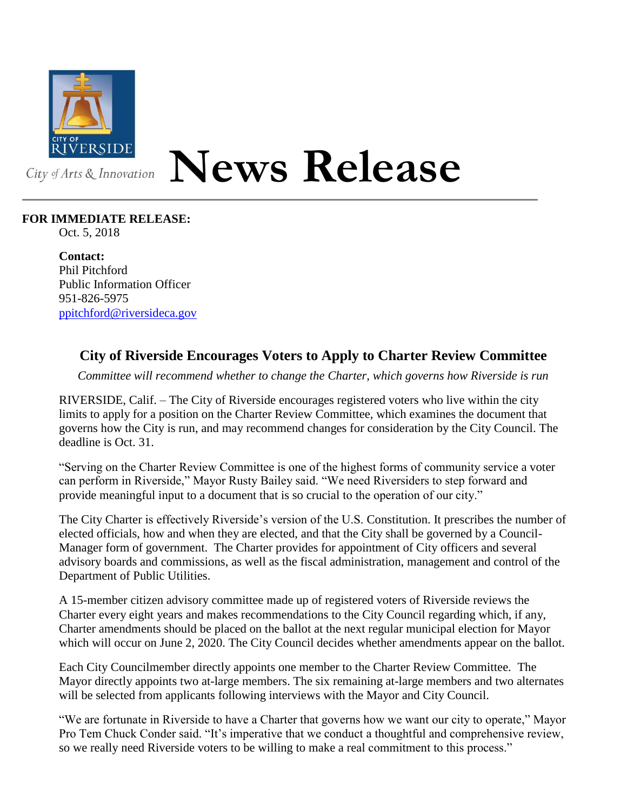

## **News Release**

## **FOR IMMEDIATE RELEASE:**

Oct. 5, 2018

**Contact:** Phil Pitchford Public Information Officer 951-826-5975 [ppitchford@riversideca.gov](mailto:ppitchford@riversideca.gov)

## **City of Riverside Encourages Voters to Apply to Charter Review Committee**

*Committee will recommend whether to change the Charter, which governs how Riverside is run*

RIVERSIDE, Calif. – The City of Riverside encourages registered voters who live within the city limits to apply for a position on the Charter Review Committee, which examines the document that governs how the City is run, and may recommend changes for consideration by the City Council. The deadline is Oct. 31.

"Serving on the Charter Review Committee is one of the highest forms of community service a voter can perform in Riverside," Mayor Rusty Bailey said. "We need Riversiders to step forward and provide meaningful input to a document that is so crucial to the operation of our city."

The City Charter is effectively Riverside's version of the U.S. Constitution. It prescribes the number of elected officials, how and when they are elected, and that the City shall be governed by a Council-Manager form of government. The Charter provides for appointment of City officers and several advisory boards and commissions, as well as the fiscal administration, management and control of the Department of Public Utilities.

A 15-member citizen advisory committee made up of registered voters of Riverside reviews the Charter every eight years and makes recommendations to the City Council regarding which, if any, Charter amendments should be placed on the ballot at the next regular municipal election for Mayor which will occur on June 2, 2020. The City Council decides whether amendments appear on the ballot.

Each City Councilmember directly appoints one member to the Charter Review Committee. The Mayor directly appoints two at-large members. The six remaining at-large members and two alternates will be selected from applicants following interviews with the Mayor and City Council.

"We are fortunate in Riverside to have a Charter that governs how we want our city to operate," Mayor Pro Tem Chuck Conder said. "It's imperative that we conduct a thoughtful and comprehensive review, so we really need Riverside voters to be willing to make a real commitment to this process."